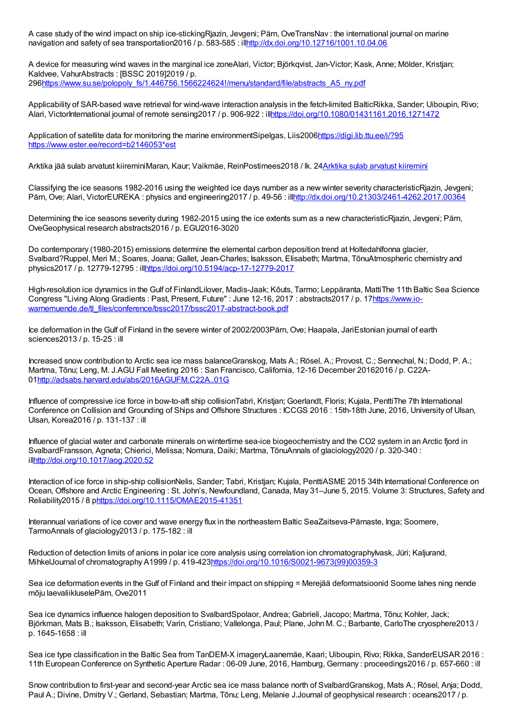A case study of the wind impact on ship ice-stickingRjazin, Jevgeni; Pärn, OveTransNav : the international journal on marine navigation and safety of sea transportation2016 / p. 583-585 : il[lhttp://dx.doi.org/10.12716/1001.10.04.06](http://dx.doi.org/10.12716/1001.10.04.06)

A device for measuring wind waves in the marginal ice zoneAlari, Victor; Björkqvist, Jan-Victor; Kask, Anne; Mölder, Kristjan; Kaldvee, VahurAbstracts : [BSSC 2019]2019 / p. 29[6https://www.su.se/polopoly\\_fs/1.446756.1566224624!/menu/standard/file/abstracts\\_A5\\_ny.pdf](https://www.su.se/polopoly_fs/1.446756.1566224624!/menu/standard/file/abstracts_A5_ny.pdf)

Applicability of SAR-based wave retrieval for wind-wave interaction analysis in the fetch-limited BalticRikka, Sander; Uiboupin, Rivo; Alari, VictorInternational journal of remote sensing2017 / p. 906-922 : il[lhttps://doi.org/10.1080/01431161.2016.1271472](https://doi.org/10.1080/01431161.2016.1271472)

Application of satellite data for monitoring the marine environmentSipelgas, Liis200[6https://digi.lib.ttu.ee/i/?95](https://digi.lib.ttu.ee/i/?95) [https://www.ester.ee/record=b2146053\\*est](https://www.ester.ee/record=b2146053*est)

Arktika jää sulab arvatust kiireminiMaran, Kaur; Vaikmäe, ReinPostimees2018 / lk. 24Arktika sulab arvatust [kiiremini](https://heureka.postimees.ee/6141517/arktika-sulab-arvatust-kiiremini)

Classifying the ice seasons 1982-2016 using the weighted ice days number as a new winter severity characteristicRjazin, Jevgeni; Pärn, Ove; Alari, VictorEUREKA : physics and engineering2017 / p. 49-56 : il[lhttp://dx.doi.org/10.21303/2461-4262.2017.00364](http://dx.doi.org/10.21303/2461-4262.2017.00364)

Determining the ice seasons severity during 1982-2015 using the ice extents sum as a new characteristicRjazin, Jevgeni; Pärn, OveGeophysical research abstracts2016 / p. EGU2016-3020

Do contemporary (1980-2015) emissions determine the elemental carbon deposition trend at Holtedahlfonna glacier, Svalbard?Ruppel, Meri M.; Soares, Joana; Gallet, Jean-Charles; Isaksson, Elisabeth; Martma, TõnuAtmospheric chemistry and physics2017 / p. 12779-12795 : il[lhttps://doi.org/10.5194/acp-17-12779-2017](https://doi.org/10.5194/acp-17-12779-2017)

High-resolution ice dynamics in the Gulf of FinlandLilover, Madis-Jaak; Kõuts, Tarmo; Leppäranta, MattiThe 11th Baltic Sea Science Congress "Living Along Gradients : Past, Present, Future" : June 12-16, 2017 : abstracts2017 / p. 17https://www.io[warnemuende.de/tl\\_files/conference/bssc2017/bssc2017-abstract-book.pdf](https://www.io-warnemuende.de/tl_files/conference/bssc2017/bssc2017-abstract-book.pdf)

Ice deformation in the Gulf of Finland in the severe winter of 2002/2003Pärn, Ove; Haapala, JariEstonian journal of earth sciences2013 / p. 15-25 : ill

Increased snow contribution to Arctic sea ice mass balanceGranskog, Mats A.; Rösel, A.; Provost, C.; Sennechal, N.; Dodd, P. A.; Martma, Tõnu; Leng, M. J.AGU Fall Meeting 2016 : San Francisco, California, 12-16 December 20162016 / p. C22A-0[1http://adsabs.harvard.edu/abs/2016AGUFM.C22A..01G](http://adsabs.harvard.edu/abs/2016AGUFM.C22A..01G)

Influence of compressive ice force in bow-to-aft ship collisionTabri, Kristjan; Goerlandt, Floris; Kujala, PenttiThe 7th International Conference on Collision and Grounding of Ships and Offshore Structures : ICCGS 2016 : 15th-18th June, 2016, University of Ulsan, Ulsan, Korea2016 / p. 131-137 : ill

Influence of glacial water and carbonate minerals on wintertime sea-ice biogeochemistry and the CO2 system in an Arctic fjord in SvalbardFransson, Agneta; Chierici, Melissa; Nomura, Daiki; Martma, TõnuAnnals of glaciology2020 / p. 320-340 : il[lhttp://doi.org/10.1017/aog.2020.52](http://doi.org/10.1017/aog.2020.52)

Interaction of ice force in ship-ship collisionNelis, Sander; Tabri, Kristjan; Kujala, PenttiASME 2015 34th International Conference on Ocean, Offshore and Arctic Engineering : St. John's, Newfoundland, Canada, May 31–June 5, 2015. Volume 3: Structures, Safety and Reliability2015 / 8 [phttps://doi.org/10.1115/OMAE2015-41351](https://doi.org/10.1115/OMAE2015-41351)

Interannual variations of ice cover and wave energy flux in the northeastern Baltic SeaZaitseva-Pärnaste, Inga; Soomere, TarmoAnnals of glaciology2013 / p. 175-182 : ill

Reduction of detection limits of anions in polar ice core analysis using correlation ion chromatographylvask, Jüri; Kaljurand, MihkelJournal of chromatography A1999 / p. 419-42[3https://doi.org/10.1016/S0021-9673\(99\)00359-3](https://doi.org/10.1016/S0021-9673(99)00359-3)

Sea ice deformation events in the Gulf of Finland and their impact on shipping = Merejää deformatsioonid Soome lahes ning nende mõju laevaliikluselePärn, Ove2011

Sea ice dynamics influence halogen deposition to SvalbardSpolaor, Andrea; Gabrieli, Jacopo; Martma, Tõnu; Kohler, Jack; Björkman, Mats B.; Isaksson, Elisabeth; Varin, Cristiano; Vallelonga, Paul; Plane, John M. C.; Barbante, CarloThe cryosphere2013 / p. 1645-1658 : ill

Sea ice type classification in the Baltic Sea from TanDEM-X imageryLaanemäe, Kaari; Uiboupin, Rivo; Rikka, SanderEUSAR 2016 : 11th European Conference on Synthetic Aperture Radar : 06-09 June, 2016, Hamburg, Germany : proceedings2016 / p. 657-660 : ill

Snow contribution to first-year and second-year Arctic sea ice mass balance north of SvalbardGranskog, Mats A.; Rösel, Anja; Dodd, Paul A.; Divine, Dmitry V.; Gerland, Sebastian; Martma, Tõnu; Leng, Melanie J.Journal of geophysical research : oceans2017 / p.